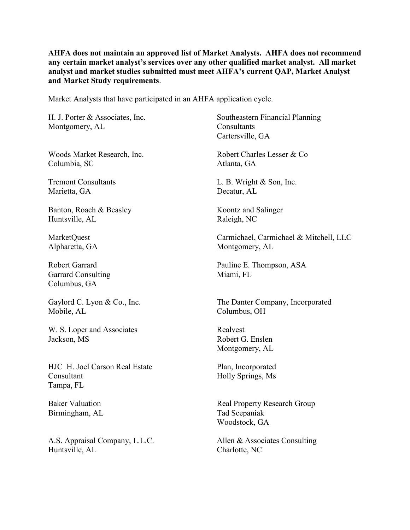**AHFA does not maintain an approved list of Market Analysts. AHFA does not recommend any certain market analyst's services over any other qualified market analyst. All market analyst and market studies submitted must meet AHFA's current QAP, Market Analyst and Market Study requirements**.

Market Analysts that have participated in an AHFA application cycle.

H. J. Porter & Associates, Inc. Southeastern Financial Planning Montgomery, AL Consultants

Columbia, SC Atlanta, GA

Marietta, GA Decatur, AL

Banton, Roach & Beasley Koontz and Salinger Huntsville, AL Raleigh, NC

Garrard Consulting Miami, FL Columbus, GA

Mobile, AL Columbus, OH

W. S. Loper and Associates Realvest Jackson, MS Robert G. Enslen

HJC H. Joel Carson Real Estate Plan, Incorporated Consultant Holly Springs, Ms Tampa, FL

Birmingham, AL Tad Scepaniak

A.S. Appraisal Company, L.L.C. Allen & Associates Consulting Huntsville, AL Charlotte, NC

Cartersville, GA Woods Market Research, Inc. Robert Charles Lesser & Co Tremont Consultants L. B. Wright & Son, Inc. MarketQuest Carmichael, Carmichael & Mitchell, LLC Alpharetta, GA Montgomery, AL Robert Garrard Pauline E. Thompson, ASA Gaylord C. Lyon & Co., Inc. The Danter Company, Incorporated Montgomery, AL

Baker Valuation Real Property Research Group Woodstock, GA